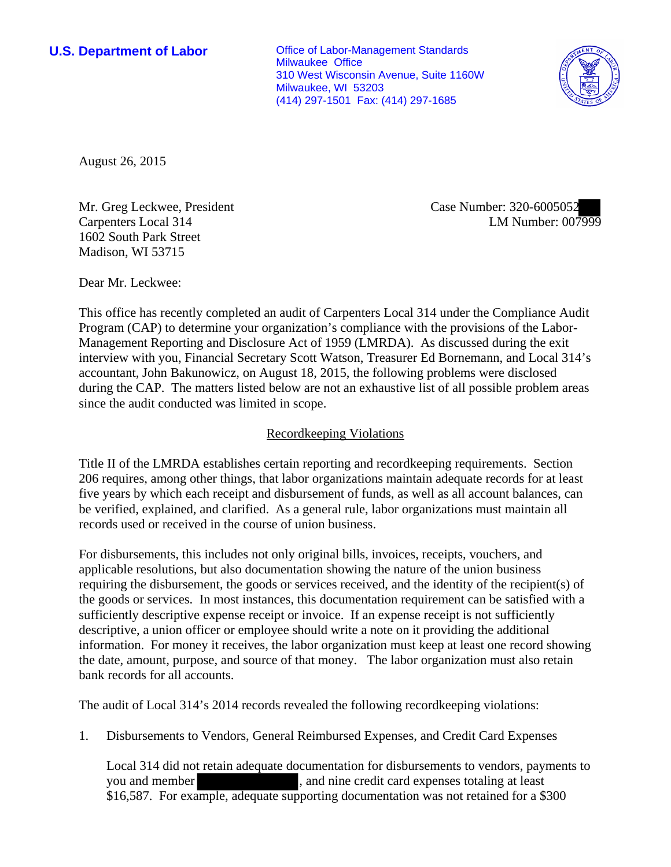**U.S. Department of Labor Office of Labor-Management Standards** Milwaukee Office 310 West Wisconsin Avenue, Suite 1160W Milwaukee, WI 53203 (414) 297-1501 Fax: (414) 297-1685



August 26, 2015

Mr. Greg Leckwee, President Carpenters Local 314 1602 South Park Street Madison, WI 53715

Case Number: 320-6005052 LM Number: 007999

Dear Mr. Leckwee:

This office has recently completed an audit of Carpenters Local 314 under the Compliance Audit Program (CAP) to determine your organization's compliance with the provisions of the Labor-Management Reporting and Disclosure Act of 1959 (LMRDA). As discussed during the exit interview with you, Financial Secretary Scott Watson, Treasurer Ed Bornemann, and Local 314's accountant, John Bakunowicz, on August 18, 2015, the following problems were disclosed during the CAP. The matters listed below are not an exhaustive list of all possible problem areas since the audit conducted was limited in scope.

## Recordkeeping Violations

Title II of the LMRDA establishes certain reporting and recordkeeping requirements. Section 206 requires, among other things, that labor organizations maintain adequate records for at least five years by which each receipt and disbursement of funds, as well as all account balances, can be verified, explained, and clarified. As a general rule, labor organizations must maintain all records used or received in the course of union business.

For disbursements, this includes not only original bills, invoices, receipts, vouchers, and applicable resolutions, but also documentation showing the nature of the union business requiring the disbursement, the goods or services received, and the identity of the recipient(s) of the goods or services. In most instances, this documentation requirement can be satisfied with a sufficiently descriptive expense receipt or invoice. If an expense receipt is not sufficiently descriptive, a union officer or employee should write a note on it providing the additional information. For money it receives, the labor organization must keep at least one record showing the date, amount, purpose, and source of that money. The labor organization must also retain bank records for all accounts.

The audit of Local 314's 2014 records revealed the following recordkeeping violations:

1. Disbursements to Vendors, General Reimbursed Expenses, and Credit Card Expenses

Local 314 did not retain adequate documentation for disbursements to vendors, payments to you and member , and nine credit card expenses totaling at least \$16,587. For example, adequate supporting documentation was not retained for a \$300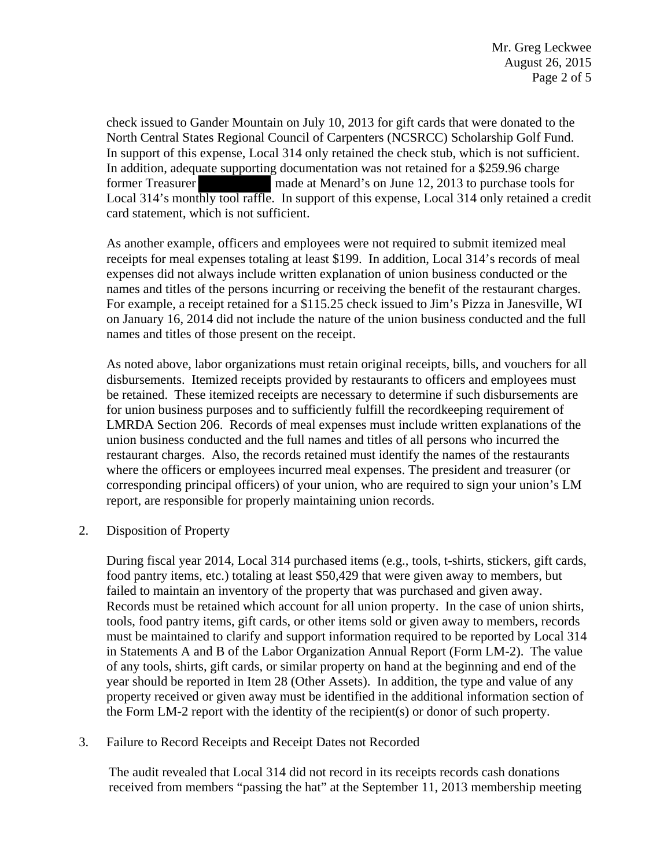check issued to Gander Mountain on July 10, 2013 for gift cards that were donated to the North Central States Regional Council of Carpenters (NCSRCC) Scholarship Golf Fund. In support of this expense, Local 314 only retained the check stub, which is not sufficient. In addition, adequate supporting documentation was not retained for a \$259.96 charge former Treasurer made at Menard's on June 12, 2013 to purchase tools for Local 314's monthly tool raffle. In support of this expense, Local 314 only retained a credit card statement, which is not sufficient.

As another example, officers and employees were not required to submit itemized meal receipts for meal expenses totaling at least \$199. In addition, Local 314's records of meal expenses did not always include written explanation of union business conducted or the names and titles of the persons incurring or receiving the benefit of the restaurant charges. For example, a receipt retained for a \$115.25 check issued to Jim's Pizza in Janesville, WI on January 16, 2014 did not include the nature of the union business conducted and the full names and titles of those present on the receipt.

As noted above, labor organizations must retain original receipts, bills, and vouchers for all disbursements. Itemized receipts provided by restaurants to officers and employees must be retained. These itemized receipts are necessary to determine if such disbursements are for union business purposes and to sufficiently fulfill the recordkeeping requirement of LMRDA Section 206. Records of meal expenses must include written explanations of the union business conducted and the full names and titles of all persons who incurred the restaurant charges. Also, the records retained must identify the names of the restaurants where the officers or employees incurred meal expenses. The president and treasurer (or corresponding principal officers) of your union, who are required to sign your union's LM report, are responsible for properly maintaining union records.

2. Disposition of Property

During fiscal year 2014, Local 314 purchased items (e.g., tools, t-shirts, stickers, gift cards, food pantry items, etc.) totaling at least \$50,429 that were given away to members, but failed to maintain an inventory of the property that was purchased and given away. Records must be retained which account for all union property. In the case of union shirts, tools, food pantry items, gift cards, or other items sold or given away to members, records must be maintained to clarify and support information required to be reported by Local 314 in Statements A and B of the Labor Organization Annual Report (Form LM-2). The value of any tools, shirts, gift cards, or similar property on hand at the beginning and end of the year should be reported in Item 28 (Other Assets). In addition, the type and value of any property received or given away must be identified in the additional information section of the Form LM-2 report with the identity of the recipient(s) or donor of such property.

3. Failure to Record Receipts and Receipt Dates not Recorded

The audit revealed that Local 314 did not record in its receipts records cash donations received from members "passing the hat" at the September 11, 2013 membership meeting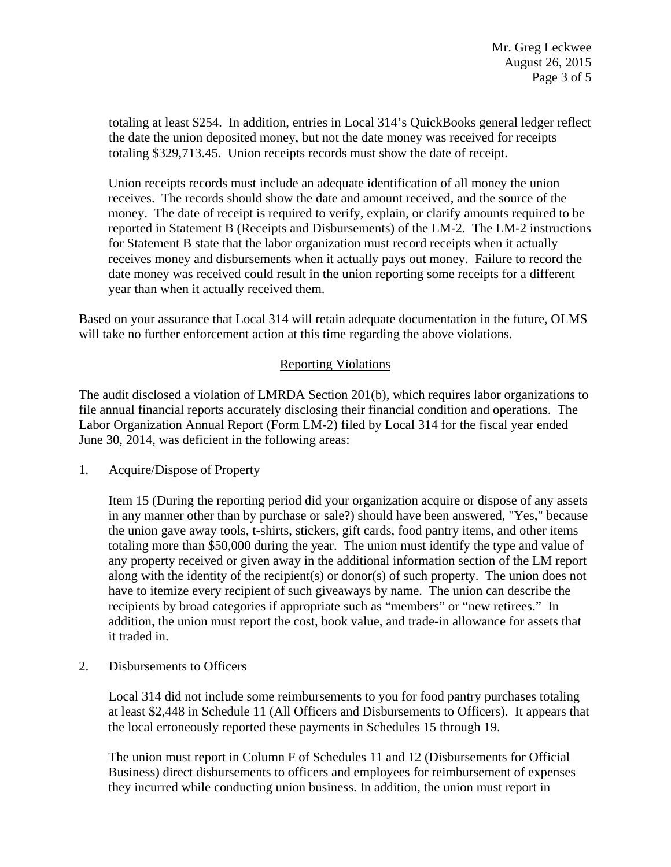totaling at least \$254. In addition, entries in Local 314's QuickBooks general ledger reflect the date the union deposited money, but not the date money was received for receipts totaling \$329,713.45. Union receipts records must show the date of receipt.

Union receipts records must include an adequate identification of all money the union receives. The records should show the date and amount received, and the source of the money. The date of receipt is required to verify, explain, or clarify amounts required to be reported in Statement B (Receipts and Disbursements) of the LM-2. The LM-2 instructions for Statement B state that the labor organization must record receipts when it actually receives money and disbursements when it actually pays out money. Failure to record the date money was received could result in the union reporting some receipts for a different year than when it actually received them.

Based on your assurance that Local 314 will retain adequate documentation in the future, OLMS will take no further enforcement action at this time regarding the above violations.

## Reporting Violations

The audit disclosed a violation of LMRDA Section 201(b), which requires labor organizations to file annual financial reports accurately disclosing their financial condition and operations. The Labor Organization Annual Report (Form LM-2) filed by Local 314 for the fiscal year ended June 30, 2014, was deficient in the following areas:

1. Acquire/Dispose of Property

Item 15 (During the reporting period did your organization acquire or dispose of any assets in any manner other than by purchase or sale?) should have been answered, "Yes," because the union gave away tools, t-shirts, stickers, gift cards, food pantry items, and other items totaling more than \$50,000 during the year. The union must identify the type and value of any property received or given away in the additional information section of the LM report along with the identity of the recipient(s) or donor(s) of such property. The union does not have to itemize every recipient of such giveaways by name. The union can describe the recipients by broad categories if appropriate such as "members" or "new retirees." In addition, the union must report the cost, book value, and trade-in allowance for assets that it traded in.

2. Disbursements to Officers

Local 314 did not include some reimbursements to you for food pantry purchases totaling at least \$2,448 in Schedule 11 (All Officers and Disbursements to Officers). It appears that the local erroneously reported these payments in Schedules 15 through 19.

The union must report in Column F of Schedules 11 and 12 (Disbursements for Official Business) direct disbursements to officers and employees for reimbursement of expenses they incurred while conducting union business. In addition, the union must report in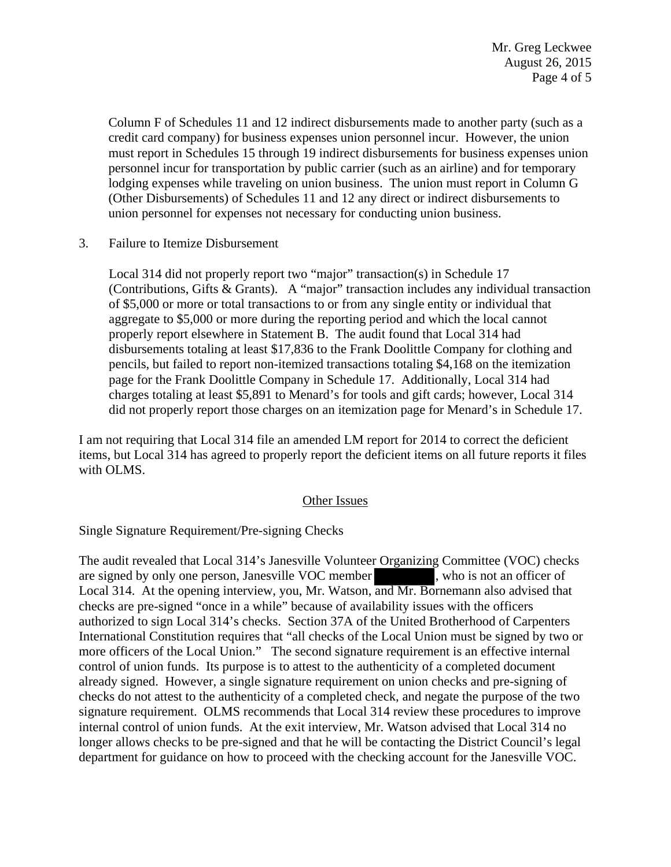Column F of Schedules 11 and 12 indirect disbursements made to another party (such as a credit card company) for business expenses union personnel incur. However, the union must report in Schedules 15 through 19 indirect disbursements for business expenses union personnel incur for transportation by public carrier (such as an airline) and for temporary lodging expenses while traveling on union business. The union must report in Column G (Other Disbursements) of Schedules 11 and 12 any direct or indirect disbursements to union personnel for expenses not necessary for conducting union business.

3. Failure to Itemize Disbursement

Local 314 did not properly report two "major" transaction(s) in Schedule 17 (Contributions, Gifts & Grants). A "major" transaction includes any individual transaction of \$5,000 or more or total transactions to or from any single entity or individual that aggregate to \$5,000 or more during the reporting period and which the local cannot properly report elsewhere in Statement B. The audit found that Local 314 had disbursements totaling at least \$17,836 to the Frank Doolittle Company for clothing and pencils, but failed to report non-itemized transactions totaling \$4,168 on the itemization page for the Frank Doolittle Company in Schedule 17. Additionally, Local 314 had charges totaling at least \$5,891 to Menard's for tools and gift cards; however, Local 314 did not properly report those charges on an itemization page for Menard's in Schedule 17.

I am not requiring that Local 314 file an amended LM report for 2014 to correct the deficient items, but Local 314 has agreed to properly report the deficient items on all future reports it files with OLMS.

## Other Issues

## Single Signature Requirement/Pre-signing Checks

The audit revealed that Local 314's Janesville Volunteer Organizing Committee (VOC) checks are signed by only one person, Janesville VOC member , who is not an officer of Local 314. At the opening interview, you, Mr. Watson, and Mr. Bornemann also advised that checks are pre-signed "once in a while" because of availability issues with the officers authorized to sign Local 314's checks. Section 37A of the United Brotherhood of Carpenters International Constitution requires that "all checks of the Local Union must be signed by two or more officers of the Local Union." The second signature requirement is an effective internal control of union funds. Its purpose is to attest to the authenticity of a completed document already signed. However, a single signature requirement on union checks and pre-signing of checks do not attest to the authenticity of a completed check, and negate the purpose of the two signature requirement. OLMS recommends that Local 314 review these procedures to improve internal control of union funds. At the exit interview, Mr. Watson advised that Local 314 no longer allows checks to be pre-signed and that he will be contacting the District Council's legal department for guidance on how to proceed with the checking account for the Janesville VOC.